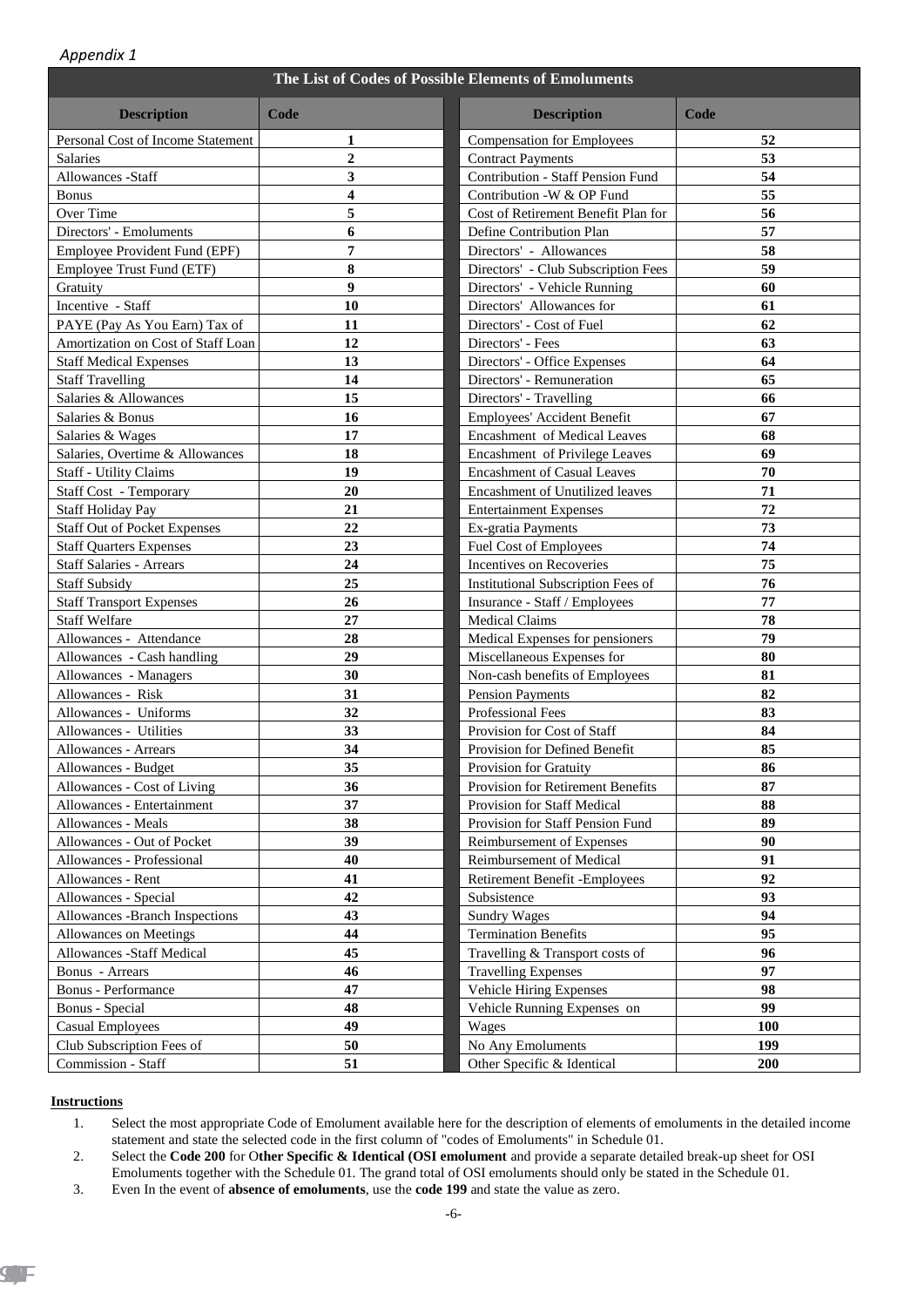| Appendix 1                          |                  |                                                      |      |
|-------------------------------------|------------------|------------------------------------------------------|------|
|                                     |                  | The List of Codes of Possible Elements of Emoluments |      |
| <b>Description</b>                  | Code             | <b>Description</b>                                   | Code |
| Personal Cost of Income Statement   | 1                | <b>Compensation for Employees</b>                    | 52   |
| Salaries                            | $\boldsymbol{2}$ | <b>Contract Payments</b>                             | 53   |
| Allowances -Staff                   | 3                | Contribution - Staff Pension Fund                    | 54   |
| <b>Bonus</b>                        | 4                | Contribution -W & OP Fund                            | 55   |
| Over Time                           | 5                | Cost of Retirement Benefit Plan for                  | 56   |
| Directors' - Emoluments             | 6                | Define Contribution Plan                             | 57   |
| Employee Provident Fund (EPF)       | 7                | Directors' - Allowances                              | 58   |
| Employee Trust Fund (ETF)           | 8                | Directors' - Club Subscription Fees                  | 59   |
| Gratuity                            | 9                | Directors' - Vehicle Running                         | 60   |
| Incentive - Staff                   | 10               | Directors' Allowances for                            | 61   |
| PAYE (Pay As You Earn) Tax of       | 11               | Directors' - Cost of Fuel                            | 62   |
| Amortization on Cost of Staff Loan  | 12               | Directors' - Fees                                    | 63   |
| <b>Staff Medical Expenses</b>       | 13               | Directors' - Office Expenses                         | 64   |
| <b>Staff Travelling</b>             | 14               | Directors' - Remuneration                            | 65   |
| Salaries & Allowances               | 15               | Directors' - Travelling                              | 66   |
| Salaries & Bonus                    | 16               | Employees' Accident Benefit                          | 67   |
| Salaries & Wages                    | 17               | Encashment of Medical Leaves                         | 68   |
| Salaries, Overtime & Allowances     | 18               | Encashment of Privilege Leaves                       | 69   |
| <b>Staff - Utility Claims</b>       | 19               | <b>Encashment of Casual Leaves</b>                   | 70   |
| Staff Cost - Temporary              | 20               | Encashment of Unutilized leaves                      | 71   |
| <b>Staff Holiday Pay</b>            | 21               | <b>Entertainment Expenses</b>                        | 72   |
| <b>Staff Out of Pocket Expenses</b> | 22               | Ex-gratia Payments                                   | 73   |
| <b>Staff Quarters Expenses</b>      | 23               | Fuel Cost of Employees                               | 74   |
| <b>Staff Salaries - Arrears</b>     | 24               | Incentives on Recoveries                             | 75   |
| <b>Staff Subsidy</b>                | 25               | Institutional Subscription Fees of                   | 76   |
| <b>Staff Transport Expenses</b>     | 26               | Insurance - Staff / Employees                        | 77   |
| <b>Staff Welfare</b>                | 27               | <b>Medical Claims</b>                                | 78   |
| Allowances - Attendance             | 28               | Medical Expenses for pensioners                      | 79   |
| Allowances - Cash handling          | 29               | Miscellaneous Expenses for                           | 80   |
| Allowances - Managers               | 30               | Non-cash benefits of Employees                       | 81   |
| Allowances - Risk                   | 31               | <b>Pension Payments</b>                              | 82   |
| Allowances - Uniforms               | 32               | Professional Fees                                    | 83   |
| Allowances - Utilities              | 33               | Provision for Cost of Staff                          | 84   |
| Allowances - Arrears                | 34               | Provision for Defined Benefit                        | 85   |
| Allowances - Budget                 | 35               | Provision for Gratuity                               | 86   |
| Allowances - Cost of Living         | 36               | Provision for Retirement Benefits                    | 87   |
| Allowances - Entertainment          | 37               | Provision for Staff Medical                          | 88   |
| Allowances - Meals                  | 38               | Provision for Staff Pension Fund                     | 89   |
| Allowances - Out of Pocket          | 39               | Reimbursement of Expenses                            | 90   |
| Allowances - Professional           | 40               | Reimbursement of Medical                             | 91   |
| Allowances - Rent                   | 41               | Retirement Benefit -Employees                        | 92   |
| Allowances - Special                | 42               | Subsistence                                          | 93   |
| Allowances -Branch Inspections      | 43               | <b>Sundry Wages</b>                                  | 94   |
| Allowances on Meetings              | 44               | <b>Termination Benefits</b>                          | 95   |
| Allowances -Staff Medical           | 45               | Travelling & Transport costs of                      | 96   |
| <b>Bonus</b> - Arrears              | 46               | <b>Travelling Expenses</b>                           | 97   |
| Bonus - Performance                 | 47               | Vehicle Hiring Expenses                              | 98   |
| <b>Bonus</b> - Special              | 48               | Vehicle Running Expenses on                          | 99   |
| <b>Casual Employees</b>             | 49               | Wages                                                | 100  |

## **Instructions**

Club Subscription Fees of Commission - Staff

> 1. Select the most appropriate Code of Emolument available here for the description of elements of emoluments in the detailed income statement and state the selected code in the first column of "codes of Emoluments" in Schedule 01.

**51 Other Specific & Identical** 

**50** No Any Emoluments **199** 

**200** 

2. Select the **Code 200** for O**ther Specific & Identical (OSI emolument** and provide a separate detailed break-up sheet for OSI Emoluments together with the Schedule 01. The grand total of OSI emoluments should only be stated in the Schedule 01.

3. Even In the event of **absence of emoluments**, use the **code 199** and state the value as zero.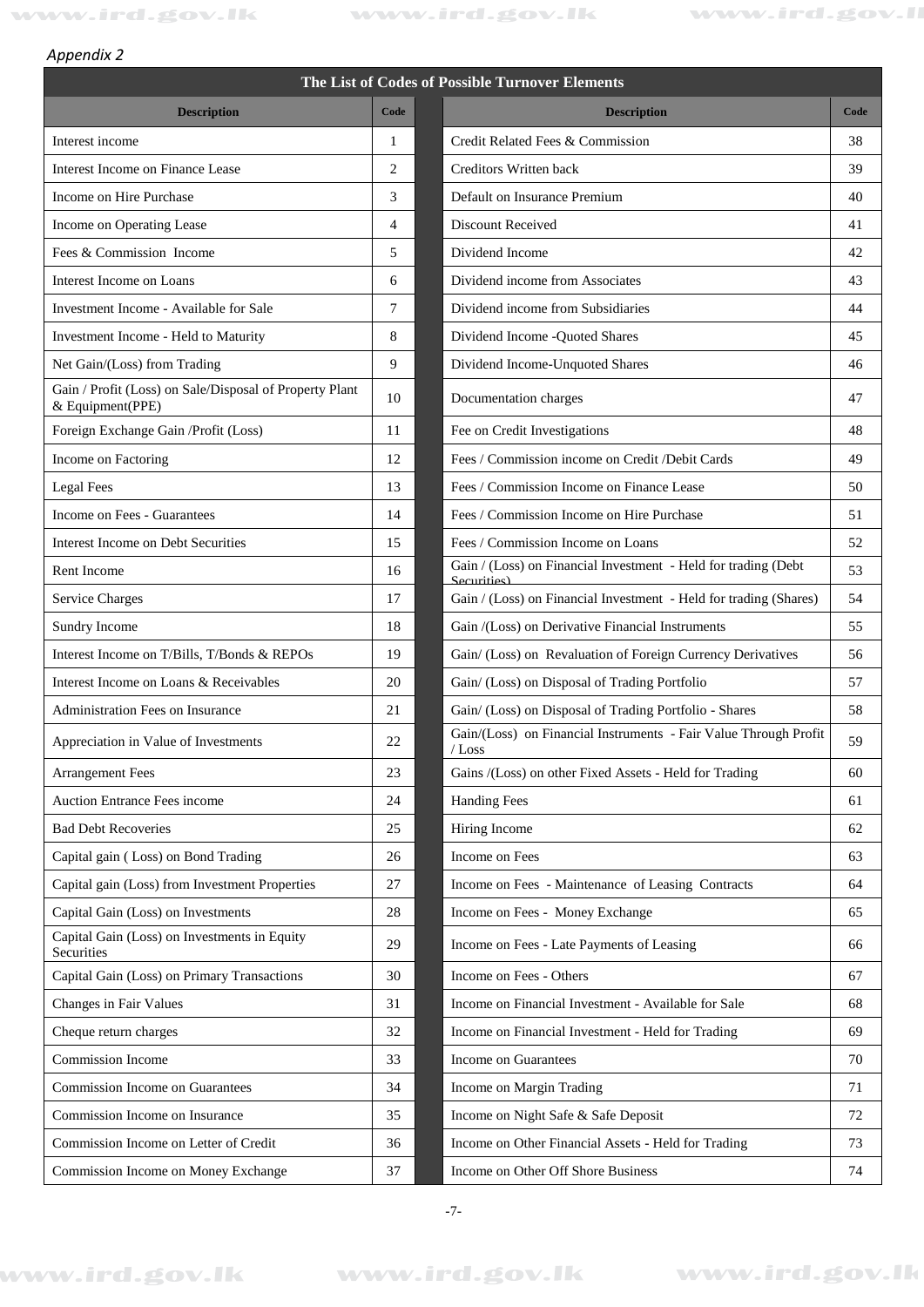**Description Code** 

## *Appendix 2*

## **The List of Codes of Possible Turnover Elements**

| Credit Related Fees & Commission<br>Interest income<br>38<br>1<br>39<br>Interest Income on Finance Lease<br>2<br>Creditors Written back<br>Income on Hire Purchase<br>3<br>Default on Insurance Premium<br>40<br><b>Discount Received</b><br>Income on Operating Lease<br>$\overline{4}$<br>41<br>Fees & Commission Income<br>5<br>Dividend Income<br>42<br>Dividend income from Associates<br>43<br>Interest Income on Loans<br>6<br>7<br>Dividend income from Subsidiaries<br>44<br>Investment Income - Available for Sale<br>8<br>45<br>Investment Income - Held to Maturity<br>Dividend Income - Quoted Shares<br>9<br>Net Gain/(Loss) from Trading<br>Dividend Income-Unquoted Shares<br>46<br>Gain / Profit (Loss) on Sale/Disposal of Property Plant<br>47<br>10<br>Documentation charges<br>& Equipment(PPE)<br>Foreign Exchange Gain /Profit (Loss)<br>48<br>Fee on Credit Investigations<br>11<br>Income on Factoring<br>12<br>Fees / Commission income on Credit /Debit Cards<br>49<br>Legal Fees<br>13<br>Fees / Commission Income on Finance Lease<br>50<br>Income on Fees - Guarantees<br>14<br>Fees / Commission Income on Hire Purchase<br>51<br>52<br>Interest Income on Debt Securities<br>15<br>Fees / Commission Income on Loans<br>Gain / (Loss) on Financial Investment - Held for trading (Debt<br>53<br>Rent Income<br>16<br>Securities)<br><b>Service Charges</b><br>17<br>Gain / (Loss) on Financial Investment - Held for trading (Shares)<br>54<br>18<br>Sundry Income<br>Gain /(Loss) on Derivative Financial Instruments<br>55<br>Interest Income on T/Bills, T/Bonds & REPOs<br>19<br>Gain/ (Loss) on Revaluation of Foreign Currency Derivatives<br>56<br>Interest Income on Loans & Receivables<br>Gain/ (Loss) on Disposal of Trading Portfolio<br>57<br>20<br>Gain/ (Loss) on Disposal of Trading Portfolio - Shares<br>58<br>Administration Fees on Insurance<br>21<br>Gain/(Loss) on Financial Instruments - Fair Value Through Profit<br>59<br>22<br>Appreciation in Value of Investments<br>$/L$ oss<br>23<br>Gains /(Loss) on other Fixed Assets - Held for Trading<br><b>Arrangement Fees</b><br>60<br>Auction Entrance Fees income<br><b>Handing Fees</b><br>24<br>61<br><b>Bad Debt Recoveries</b><br>25<br>Hiring Income<br>62<br>Income on Fees<br>Capital gain (Loss) on Bond Trading<br>26<br>63<br>Capital gain (Loss) from Investment Properties<br>27<br>Income on Fees - Maintenance of Leasing Contracts<br>64<br>Capital Gain (Loss) on Investments<br>28<br>Income on Fees - Money Exchange<br>65<br>Capital Gain (Loss) on Investments in Equity<br>Income on Fees - Late Payments of Leasing<br>29<br>66<br>Securities<br>Capital Gain (Loss) on Primary Transactions<br>Income on Fees - Others<br>30<br>67<br>Changes in Fair Values<br>31<br>Income on Financial Investment - Available for Sale<br>68<br>32<br>Cheque return charges<br>Income on Financial Investment - Held for Trading<br>69<br>Commission Income<br>Income on Guarantees<br>33<br>70<br><b>Commission Income on Guarantees</b><br>34<br>Income on Margin Trading<br>71<br>Commission Income on Insurance<br>Income on Night Safe & Safe Deposit<br>72<br>35<br>Commission Income on Letter of Credit<br>36<br>Income on Other Financial Assets - Held for Trading<br>73<br>Income on Other Off Shore Business<br>Commission Income on Money Exchange<br>37<br>74 | <b>Description</b> | Code | <b>Description</b> | Code |
|--------------------------------------------------------------------------------------------------------------------------------------------------------------------------------------------------------------------------------------------------------------------------------------------------------------------------------------------------------------------------------------------------------------------------------------------------------------------------------------------------------------------------------------------------------------------------------------------------------------------------------------------------------------------------------------------------------------------------------------------------------------------------------------------------------------------------------------------------------------------------------------------------------------------------------------------------------------------------------------------------------------------------------------------------------------------------------------------------------------------------------------------------------------------------------------------------------------------------------------------------------------------------------------------------------------------------------------------------------------------------------------------------------------------------------------------------------------------------------------------------------------------------------------------------------------------------------------------------------------------------------------------------------------------------------------------------------------------------------------------------------------------------------------------------------------------------------------------------------------------------------------------------------------------------------------------------------------------------------------------------------------------------------------------------------------------------------------------------------------------------------------------------------------------------------------------------------------------------------------------------------------------------------------------------------------------------------------------------------------------------------------------------------------------------------------------------------------------------------------------------------------------------------------------------------------------------------------------------------------------------------------------------------------------------------------------------------------------------------------------------------------------------------------------------------------------------------------------------------------------------------------------------------------------------------------------------------------------------------------------------------------------------------------------------------------------------------------------------------------------------------------------------------------------------------------------------------------------------------------------------------------------------------------------------------------------------------------------------------------------------------------------------|--------------------|------|--------------------|------|
|                                                                                                                                                                                                                                                                                                                                                                                                                                                                                                                                                                                                                                                                                                                                                                                                                                                                                                                                                                                                                                                                                                                                                                                                                                                                                                                                                                                                                                                                                                                                                                                                                                                                                                                                                                                                                                                                                                                                                                                                                                                                                                                                                                                                                                                                                                                                                                                                                                                                                                                                                                                                                                                                                                                                                                                                                                                                                                                                                                                                                                                                                                                                                                                                                                                                                                                                                                                                  |                    |      |                    |      |
|                                                                                                                                                                                                                                                                                                                                                                                                                                                                                                                                                                                                                                                                                                                                                                                                                                                                                                                                                                                                                                                                                                                                                                                                                                                                                                                                                                                                                                                                                                                                                                                                                                                                                                                                                                                                                                                                                                                                                                                                                                                                                                                                                                                                                                                                                                                                                                                                                                                                                                                                                                                                                                                                                                                                                                                                                                                                                                                                                                                                                                                                                                                                                                                                                                                                                                                                                                                                  |                    |      |                    |      |
|                                                                                                                                                                                                                                                                                                                                                                                                                                                                                                                                                                                                                                                                                                                                                                                                                                                                                                                                                                                                                                                                                                                                                                                                                                                                                                                                                                                                                                                                                                                                                                                                                                                                                                                                                                                                                                                                                                                                                                                                                                                                                                                                                                                                                                                                                                                                                                                                                                                                                                                                                                                                                                                                                                                                                                                                                                                                                                                                                                                                                                                                                                                                                                                                                                                                                                                                                                                                  |                    |      |                    |      |
|                                                                                                                                                                                                                                                                                                                                                                                                                                                                                                                                                                                                                                                                                                                                                                                                                                                                                                                                                                                                                                                                                                                                                                                                                                                                                                                                                                                                                                                                                                                                                                                                                                                                                                                                                                                                                                                                                                                                                                                                                                                                                                                                                                                                                                                                                                                                                                                                                                                                                                                                                                                                                                                                                                                                                                                                                                                                                                                                                                                                                                                                                                                                                                                                                                                                                                                                                                                                  |                    |      |                    |      |
|                                                                                                                                                                                                                                                                                                                                                                                                                                                                                                                                                                                                                                                                                                                                                                                                                                                                                                                                                                                                                                                                                                                                                                                                                                                                                                                                                                                                                                                                                                                                                                                                                                                                                                                                                                                                                                                                                                                                                                                                                                                                                                                                                                                                                                                                                                                                                                                                                                                                                                                                                                                                                                                                                                                                                                                                                                                                                                                                                                                                                                                                                                                                                                                                                                                                                                                                                                                                  |                    |      |                    |      |
|                                                                                                                                                                                                                                                                                                                                                                                                                                                                                                                                                                                                                                                                                                                                                                                                                                                                                                                                                                                                                                                                                                                                                                                                                                                                                                                                                                                                                                                                                                                                                                                                                                                                                                                                                                                                                                                                                                                                                                                                                                                                                                                                                                                                                                                                                                                                                                                                                                                                                                                                                                                                                                                                                                                                                                                                                                                                                                                                                                                                                                                                                                                                                                                                                                                                                                                                                                                                  |                    |      |                    |      |
|                                                                                                                                                                                                                                                                                                                                                                                                                                                                                                                                                                                                                                                                                                                                                                                                                                                                                                                                                                                                                                                                                                                                                                                                                                                                                                                                                                                                                                                                                                                                                                                                                                                                                                                                                                                                                                                                                                                                                                                                                                                                                                                                                                                                                                                                                                                                                                                                                                                                                                                                                                                                                                                                                                                                                                                                                                                                                                                                                                                                                                                                                                                                                                                                                                                                                                                                                                                                  |                    |      |                    |      |
|                                                                                                                                                                                                                                                                                                                                                                                                                                                                                                                                                                                                                                                                                                                                                                                                                                                                                                                                                                                                                                                                                                                                                                                                                                                                                                                                                                                                                                                                                                                                                                                                                                                                                                                                                                                                                                                                                                                                                                                                                                                                                                                                                                                                                                                                                                                                                                                                                                                                                                                                                                                                                                                                                                                                                                                                                                                                                                                                                                                                                                                                                                                                                                                                                                                                                                                                                                                                  |                    |      |                    |      |
|                                                                                                                                                                                                                                                                                                                                                                                                                                                                                                                                                                                                                                                                                                                                                                                                                                                                                                                                                                                                                                                                                                                                                                                                                                                                                                                                                                                                                                                                                                                                                                                                                                                                                                                                                                                                                                                                                                                                                                                                                                                                                                                                                                                                                                                                                                                                                                                                                                                                                                                                                                                                                                                                                                                                                                                                                                                                                                                                                                                                                                                                                                                                                                                                                                                                                                                                                                                                  |                    |      |                    |      |
|                                                                                                                                                                                                                                                                                                                                                                                                                                                                                                                                                                                                                                                                                                                                                                                                                                                                                                                                                                                                                                                                                                                                                                                                                                                                                                                                                                                                                                                                                                                                                                                                                                                                                                                                                                                                                                                                                                                                                                                                                                                                                                                                                                                                                                                                                                                                                                                                                                                                                                                                                                                                                                                                                                                                                                                                                                                                                                                                                                                                                                                                                                                                                                                                                                                                                                                                                                                                  |                    |      |                    |      |
|                                                                                                                                                                                                                                                                                                                                                                                                                                                                                                                                                                                                                                                                                                                                                                                                                                                                                                                                                                                                                                                                                                                                                                                                                                                                                                                                                                                                                                                                                                                                                                                                                                                                                                                                                                                                                                                                                                                                                                                                                                                                                                                                                                                                                                                                                                                                                                                                                                                                                                                                                                                                                                                                                                                                                                                                                                                                                                                                                                                                                                                                                                                                                                                                                                                                                                                                                                                                  |                    |      |                    |      |
|                                                                                                                                                                                                                                                                                                                                                                                                                                                                                                                                                                                                                                                                                                                                                                                                                                                                                                                                                                                                                                                                                                                                                                                                                                                                                                                                                                                                                                                                                                                                                                                                                                                                                                                                                                                                                                                                                                                                                                                                                                                                                                                                                                                                                                                                                                                                                                                                                                                                                                                                                                                                                                                                                                                                                                                                                                                                                                                                                                                                                                                                                                                                                                                                                                                                                                                                                                                                  |                    |      |                    |      |
|                                                                                                                                                                                                                                                                                                                                                                                                                                                                                                                                                                                                                                                                                                                                                                                                                                                                                                                                                                                                                                                                                                                                                                                                                                                                                                                                                                                                                                                                                                                                                                                                                                                                                                                                                                                                                                                                                                                                                                                                                                                                                                                                                                                                                                                                                                                                                                                                                                                                                                                                                                                                                                                                                                                                                                                                                                                                                                                                                                                                                                                                                                                                                                                                                                                                                                                                                                                                  |                    |      |                    |      |
|                                                                                                                                                                                                                                                                                                                                                                                                                                                                                                                                                                                                                                                                                                                                                                                                                                                                                                                                                                                                                                                                                                                                                                                                                                                                                                                                                                                                                                                                                                                                                                                                                                                                                                                                                                                                                                                                                                                                                                                                                                                                                                                                                                                                                                                                                                                                                                                                                                                                                                                                                                                                                                                                                                                                                                                                                                                                                                                                                                                                                                                                                                                                                                                                                                                                                                                                                                                                  |                    |      |                    |      |
|                                                                                                                                                                                                                                                                                                                                                                                                                                                                                                                                                                                                                                                                                                                                                                                                                                                                                                                                                                                                                                                                                                                                                                                                                                                                                                                                                                                                                                                                                                                                                                                                                                                                                                                                                                                                                                                                                                                                                                                                                                                                                                                                                                                                                                                                                                                                                                                                                                                                                                                                                                                                                                                                                                                                                                                                                                                                                                                                                                                                                                                                                                                                                                                                                                                                                                                                                                                                  |                    |      |                    |      |
|                                                                                                                                                                                                                                                                                                                                                                                                                                                                                                                                                                                                                                                                                                                                                                                                                                                                                                                                                                                                                                                                                                                                                                                                                                                                                                                                                                                                                                                                                                                                                                                                                                                                                                                                                                                                                                                                                                                                                                                                                                                                                                                                                                                                                                                                                                                                                                                                                                                                                                                                                                                                                                                                                                                                                                                                                                                                                                                                                                                                                                                                                                                                                                                                                                                                                                                                                                                                  |                    |      |                    |      |
|                                                                                                                                                                                                                                                                                                                                                                                                                                                                                                                                                                                                                                                                                                                                                                                                                                                                                                                                                                                                                                                                                                                                                                                                                                                                                                                                                                                                                                                                                                                                                                                                                                                                                                                                                                                                                                                                                                                                                                                                                                                                                                                                                                                                                                                                                                                                                                                                                                                                                                                                                                                                                                                                                                                                                                                                                                                                                                                                                                                                                                                                                                                                                                                                                                                                                                                                                                                                  |                    |      |                    |      |
|                                                                                                                                                                                                                                                                                                                                                                                                                                                                                                                                                                                                                                                                                                                                                                                                                                                                                                                                                                                                                                                                                                                                                                                                                                                                                                                                                                                                                                                                                                                                                                                                                                                                                                                                                                                                                                                                                                                                                                                                                                                                                                                                                                                                                                                                                                                                                                                                                                                                                                                                                                                                                                                                                                                                                                                                                                                                                                                                                                                                                                                                                                                                                                                                                                                                                                                                                                                                  |                    |      |                    |      |
|                                                                                                                                                                                                                                                                                                                                                                                                                                                                                                                                                                                                                                                                                                                                                                                                                                                                                                                                                                                                                                                                                                                                                                                                                                                                                                                                                                                                                                                                                                                                                                                                                                                                                                                                                                                                                                                                                                                                                                                                                                                                                                                                                                                                                                                                                                                                                                                                                                                                                                                                                                                                                                                                                                                                                                                                                                                                                                                                                                                                                                                                                                                                                                                                                                                                                                                                                                                                  |                    |      |                    |      |
|                                                                                                                                                                                                                                                                                                                                                                                                                                                                                                                                                                                                                                                                                                                                                                                                                                                                                                                                                                                                                                                                                                                                                                                                                                                                                                                                                                                                                                                                                                                                                                                                                                                                                                                                                                                                                                                                                                                                                                                                                                                                                                                                                                                                                                                                                                                                                                                                                                                                                                                                                                                                                                                                                                                                                                                                                                                                                                                                                                                                                                                                                                                                                                                                                                                                                                                                                                                                  |                    |      |                    |      |
|                                                                                                                                                                                                                                                                                                                                                                                                                                                                                                                                                                                                                                                                                                                                                                                                                                                                                                                                                                                                                                                                                                                                                                                                                                                                                                                                                                                                                                                                                                                                                                                                                                                                                                                                                                                                                                                                                                                                                                                                                                                                                                                                                                                                                                                                                                                                                                                                                                                                                                                                                                                                                                                                                                                                                                                                                                                                                                                                                                                                                                                                                                                                                                                                                                                                                                                                                                                                  |                    |      |                    |      |
|                                                                                                                                                                                                                                                                                                                                                                                                                                                                                                                                                                                                                                                                                                                                                                                                                                                                                                                                                                                                                                                                                                                                                                                                                                                                                                                                                                                                                                                                                                                                                                                                                                                                                                                                                                                                                                                                                                                                                                                                                                                                                                                                                                                                                                                                                                                                                                                                                                                                                                                                                                                                                                                                                                                                                                                                                                                                                                                                                                                                                                                                                                                                                                                                                                                                                                                                                                                                  |                    |      |                    |      |
|                                                                                                                                                                                                                                                                                                                                                                                                                                                                                                                                                                                                                                                                                                                                                                                                                                                                                                                                                                                                                                                                                                                                                                                                                                                                                                                                                                                                                                                                                                                                                                                                                                                                                                                                                                                                                                                                                                                                                                                                                                                                                                                                                                                                                                                                                                                                                                                                                                                                                                                                                                                                                                                                                                                                                                                                                                                                                                                                                                                                                                                                                                                                                                                                                                                                                                                                                                                                  |                    |      |                    |      |
|                                                                                                                                                                                                                                                                                                                                                                                                                                                                                                                                                                                                                                                                                                                                                                                                                                                                                                                                                                                                                                                                                                                                                                                                                                                                                                                                                                                                                                                                                                                                                                                                                                                                                                                                                                                                                                                                                                                                                                                                                                                                                                                                                                                                                                                                                                                                                                                                                                                                                                                                                                                                                                                                                                                                                                                                                                                                                                                                                                                                                                                                                                                                                                                                                                                                                                                                                                                                  |                    |      |                    |      |
|                                                                                                                                                                                                                                                                                                                                                                                                                                                                                                                                                                                                                                                                                                                                                                                                                                                                                                                                                                                                                                                                                                                                                                                                                                                                                                                                                                                                                                                                                                                                                                                                                                                                                                                                                                                                                                                                                                                                                                                                                                                                                                                                                                                                                                                                                                                                                                                                                                                                                                                                                                                                                                                                                                                                                                                                                                                                                                                                                                                                                                                                                                                                                                                                                                                                                                                                                                                                  |                    |      |                    |      |
|                                                                                                                                                                                                                                                                                                                                                                                                                                                                                                                                                                                                                                                                                                                                                                                                                                                                                                                                                                                                                                                                                                                                                                                                                                                                                                                                                                                                                                                                                                                                                                                                                                                                                                                                                                                                                                                                                                                                                                                                                                                                                                                                                                                                                                                                                                                                                                                                                                                                                                                                                                                                                                                                                                                                                                                                                                                                                                                                                                                                                                                                                                                                                                                                                                                                                                                                                                                                  |                    |      |                    |      |
|                                                                                                                                                                                                                                                                                                                                                                                                                                                                                                                                                                                                                                                                                                                                                                                                                                                                                                                                                                                                                                                                                                                                                                                                                                                                                                                                                                                                                                                                                                                                                                                                                                                                                                                                                                                                                                                                                                                                                                                                                                                                                                                                                                                                                                                                                                                                                                                                                                                                                                                                                                                                                                                                                                                                                                                                                                                                                                                                                                                                                                                                                                                                                                                                                                                                                                                                                                                                  |                    |      |                    |      |
|                                                                                                                                                                                                                                                                                                                                                                                                                                                                                                                                                                                                                                                                                                                                                                                                                                                                                                                                                                                                                                                                                                                                                                                                                                                                                                                                                                                                                                                                                                                                                                                                                                                                                                                                                                                                                                                                                                                                                                                                                                                                                                                                                                                                                                                                                                                                                                                                                                                                                                                                                                                                                                                                                                                                                                                                                                                                                                                                                                                                                                                                                                                                                                                                                                                                                                                                                                                                  |                    |      |                    |      |
|                                                                                                                                                                                                                                                                                                                                                                                                                                                                                                                                                                                                                                                                                                                                                                                                                                                                                                                                                                                                                                                                                                                                                                                                                                                                                                                                                                                                                                                                                                                                                                                                                                                                                                                                                                                                                                                                                                                                                                                                                                                                                                                                                                                                                                                                                                                                                                                                                                                                                                                                                                                                                                                                                                                                                                                                                                                                                                                                                                                                                                                                                                                                                                                                                                                                                                                                                                                                  |                    |      |                    |      |
|                                                                                                                                                                                                                                                                                                                                                                                                                                                                                                                                                                                                                                                                                                                                                                                                                                                                                                                                                                                                                                                                                                                                                                                                                                                                                                                                                                                                                                                                                                                                                                                                                                                                                                                                                                                                                                                                                                                                                                                                                                                                                                                                                                                                                                                                                                                                                                                                                                                                                                                                                                                                                                                                                                                                                                                                                                                                                                                                                                                                                                                                                                                                                                                                                                                                                                                                                                                                  |                    |      |                    |      |
|                                                                                                                                                                                                                                                                                                                                                                                                                                                                                                                                                                                                                                                                                                                                                                                                                                                                                                                                                                                                                                                                                                                                                                                                                                                                                                                                                                                                                                                                                                                                                                                                                                                                                                                                                                                                                                                                                                                                                                                                                                                                                                                                                                                                                                                                                                                                                                                                                                                                                                                                                                                                                                                                                                                                                                                                                                                                                                                                                                                                                                                                                                                                                                                                                                                                                                                                                                                                  |                    |      |                    |      |
|                                                                                                                                                                                                                                                                                                                                                                                                                                                                                                                                                                                                                                                                                                                                                                                                                                                                                                                                                                                                                                                                                                                                                                                                                                                                                                                                                                                                                                                                                                                                                                                                                                                                                                                                                                                                                                                                                                                                                                                                                                                                                                                                                                                                                                                                                                                                                                                                                                                                                                                                                                                                                                                                                                                                                                                                                                                                                                                                                                                                                                                                                                                                                                                                                                                                                                                                                                                                  |                    |      |                    |      |
|                                                                                                                                                                                                                                                                                                                                                                                                                                                                                                                                                                                                                                                                                                                                                                                                                                                                                                                                                                                                                                                                                                                                                                                                                                                                                                                                                                                                                                                                                                                                                                                                                                                                                                                                                                                                                                                                                                                                                                                                                                                                                                                                                                                                                                                                                                                                                                                                                                                                                                                                                                                                                                                                                                                                                                                                                                                                                                                                                                                                                                                                                                                                                                                                                                                                                                                                                                                                  |                    |      |                    |      |
|                                                                                                                                                                                                                                                                                                                                                                                                                                                                                                                                                                                                                                                                                                                                                                                                                                                                                                                                                                                                                                                                                                                                                                                                                                                                                                                                                                                                                                                                                                                                                                                                                                                                                                                                                                                                                                                                                                                                                                                                                                                                                                                                                                                                                                                                                                                                                                                                                                                                                                                                                                                                                                                                                                                                                                                                                                                                                                                                                                                                                                                                                                                                                                                                                                                                                                                                                                                                  |                    |      |                    |      |
|                                                                                                                                                                                                                                                                                                                                                                                                                                                                                                                                                                                                                                                                                                                                                                                                                                                                                                                                                                                                                                                                                                                                                                                                                                                                                                                                                                                                                                                                                                                                                                                                                                                                                                                                                                                                                                                                                                                                                                                                                                                                                                                                                                                                                                                                                                                                                                                                                                                                                                                                                                                                                                                                                                                                                                                                                                                                                                                                                                                                                                                                                                                                                                                                                                                                                                                                                                                                  |                    |      |                    |      |
|                                                                                                                                                                                                                                                                                                                                                                                                                                                                                                                                                                                                                                                                                                                                                                                                                                                                                                                                                                                                                                                                                                                                                                                                                                                                                                                                                                                                                                                                                                                                                                                                                                                                                                                                                                                                                                                                                                                                                                                                                                                                                                                                                                                                                                                                                                                                                                                                                                                                                                                                                                                                                                                                                                                                                                                                                                                                                                                                                                                                                                                                                                                                                                                                                                                                                                                                                                                                  |                    |      |                    |      |
|                                                                                                                                                                                                                                                                                                                                                                                                                                                                                                                                                                                                                                                                                                                                                                                                                                                                                                                                                                                                                                                                                                                                                                                                                                                                                                                                                                                                                                                                                                                                                                                                                                                                                                                                                                                                                                                                                                                                                                                                                                                                                                                                                                                                                                                                                                                                                                                                                                                                                                                                                                                                                                                                                                                                                                                                                                                                                                                                                                                                                                                                                                                                                                                                                                                                                                                                                                                                  |                    |      |                    |      |